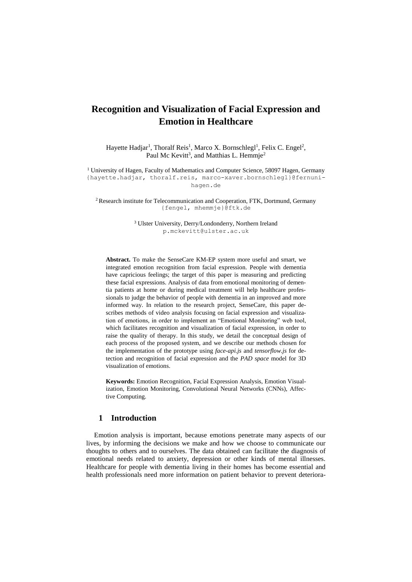# **Recognition and Visualization of Facial Expression and Emotion in Healthcare**

Hayette Hadjar<sup>1</sup>, Thoralf Reis<sup>1</sup>, Marco X. Bornschlegl<sup>1</sup>, Felix C. Engel<sup>2</sup>, Paul Mc Kevitt<sup>3</sup>, and Matthias L. Hemmje<sup>2</sup>

<sup>1</sup> University of Hagen, Faculty of Mathematics and Computer Science, 58097 Hagen, Germany {hayette.hadjar, thoralf.reis, marco-xaver.bornschleg[l}@fernuni](mailto:%7D@fernuni-hagen.de)[hagen.de](mailto:%7D@fernuni-hagen.de)

<sup>2</sup> Research institute for Telecommunication and Cooperation, FTK, Dortmund, Germany {fengel, mhemmje}@ftk.de

> <sup>3</sup> Ulster University, Derry/Londonderry, Northern Ireland p.mckevitt@ulster.ac.uk

**Abstract.** To make the SenseCare KM-EP system more useful and smart, we integrated emotion recognition from facial expression. People with dementia have capricious feelings; the target of this paper is measuring and predicting these facial expressions. Analysis of data from emotional monitoring of dementia patients at home or during medical treatment will help healthcare professionals to judge the behavior of people with dementia in an improved and more informed way. In relation to the research project, SenseCare, this paper describes methods of video analysis focusing on facial expression and visualization of emotions, in order to implement an "Emotional Monitoring" web tool, which facilitates recognition and visualization of facial expression, in order to raise the quality of therapy. In this study, we detail the conceptual design of each process of the proposed system, and we describe our methods chosen for the implementation of the prototype using *face-api.js* and *tensorflow.js* for detection and recognition of facial expression and the *PAD space* model for 3D visualization of emotions.

**Keywords:** Emotion Recognition, Facial Expression Analysis, Emotion Visualization, Emotion Monitoring, Convolutional Neural Networks (CNNs), Affective Computing.

# **1 Introduction**

Emotion analysis is important, because emotions penetrate many aspects of our lives, by informing the decisions we make and how we choose to communicate our thoughts to others and to ourselves. The data obtained can facilitate the diagnosis of emotional needs related to anxiety, depression or other kinds of mental illnesses. Healthcare for people with dementia living in their homes has become essential and health professionals need more information on patient behavior to prevent deteriora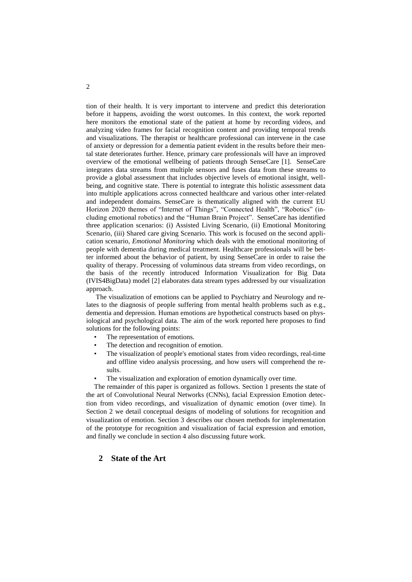tion of their health. It is very important to intervene and predict this deterioration before it happens, avoiding the worst outcomes. In this context, the work reported here monitors the emotional state of the patient at home by recording videos, and analyzing video frames for facial recognition content and providing temporal trends and visualizations. The therapist or healthcare professional can intervene in the case of anxiety or depression for a dementia patient evident in the results before their mental state deteriorates further. Hence, primary care professionals will have an improved overview of the emotional wellbeing of patients through SenseCare [1]. SenseCare integrates data streams from multiple sensors and fuses data from these streams to provide a global assessment that includes objective levels of emotional insight, wellbeing, and cognitive state. There is potential to integrate this holistic assessment data into multiple applications across connected healthcare and various other inter-related and independent domains. SenseCare is thematically aligned with the current EU Horizon 2020 themes of "Internet of Things", "Connected Health", "Robotics" (including emotional robotics) and the "Human Brain Project". SenseCare has identified three application scenarios: (i) Assisted Living Scenario, (ii) Emotional Monitoring Scenario, (iii) Shared care giving Scenario. This work is focused on the second application scenario, *Emotional Monitoring* which deals with the emotional monitoring of people with dementia during medical treatment. Healthcare professionals will be better informed about the behavior of patient, by using SenseCare in order to raise the quality of therapy. Processing of voluminous data streams from video recordings, on the basis of the recently introduced Information Visualization for Big Data (IVIS4BigData) model [2] elaborates data stream types addressed by our visualization approach.

The visualization of emotions can be applied to Psychiatry and Neurology and relates to the diagnosis of people suffering from mental health problems such as e.g., dementia and depression. Human emotions are hypothetical constructs based on physiological and psychological data. The aim of the work reported here proposes to find solutions for the following points:

- The representation of emotions.
- The detection and recognition of emotion.
- The visualization of people's emotional states from video recordings, real-time and offline video analysis processing, and how users will comprehend the results.
- The visualization and exploration of emotion dynamically over time.

The remainder of this paper is organized as follows. Section 1 presents the state of the art of Convolutional Neural Networks (CNNs), facial Expression Emotion detection from video recordings, and visualization of dynamic emotion (over time). In Section 2 we detail conceptual designs of modeling of solutions for recognition and visualization of emotion. Section 3 describes our chosen methods for implementation of the prototype for recognition and visualization of facial expression and emotion, and finally we conclude in section 4 also discussing future work.

# **2 State of the Art**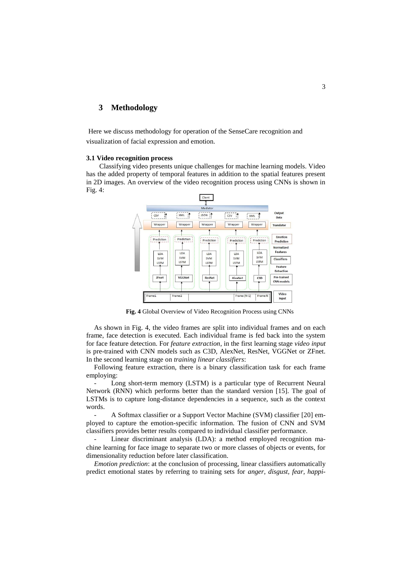## **3 Methodology**

Here we discuss methodology for operation of the SenseCare recognition and visualization of facial expression and emotion.

#### **3.1 Video recognition process**

 Classifying video presents unique challenges for machine learning models. Video has the added property of temporal features in addition to the spatial features present in 2D images. An overview of the video recognition process using CNNs is shown in Fig. 4:



**Fig. 4** Global Overview of Video Recognition Process using CNNs

As shown in Fig. 4, the video frames are split into individual frames and on each frame, face detection is executed. Each individual frame is fed back into the system for face feature detection. For *feature extraction*, in the first learning stage *video input* is pre-trained with CNN models such as C3D, AlexNet, ResNet, VGGNet or ZFnet. In the second learning stage on *training linear classifiers*:

Following feature extraction, there is a binary classification task for each frame employing:

- Long short-term memory (LSTM) is a particular type of Recurrent Neural Network (RNN) which performs better than the standard version [15]. The goal of LSTMs is to capture long-distance dependencies in a sequence, such as the context words.

A Softmax classifier or a Support Vector Machine (SVM) classifier [20] employed to capture the emotion-specific information. The fusion of CNN and SVM classifiers provides better results compared to individual classifier performance.

Linear discriminant analysis (LDA): a method employed recognition machine learning for face image to separate two or more classes of objects or events, for dimensionality reduction before later classification.

*Emotion prediction*: at the conclusion of processing, linear classifiers automatically predict emotional states by referring to training sets for *anger, disgust, fear, happi-*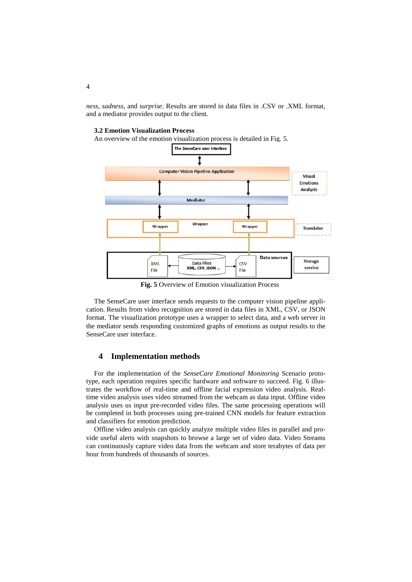*ness, sadness*, and *surprise*. Results are stored in data files in .CSV or .XML format, and a mediator provides output to the client.

#### **3.2 Emotion Visualization Process**

An overview of the emotion visualization process is detailed in Fig. 5.



**Fig. 5** Overview of Emotion visualization Process

The SenseCare user interface sends requests to the computer vision pipeline application. Results from video recognition are stored in data files in XML, CSV, or JSON format. The visualization prototype uses a wrapper to select data, and a web server in the mediator sends responding customized graphs of emotions as output results to the SenseCare user interface.

### **4 Implementation methods**

For the implementation of the *SenseCare Emotional Monitoring* Scenario prototype, each operation requires specific hardware and software to succeed. Fig. 6 illustrates the workflow of real-time and offline facial expression video analysis. Realtime video analysis uses video streamed from the webcam as data input. Offline video analysis uses us input pre-recorded video files. The same processing operations will be completed in both processes using pre-trained CNN models for feature extraction and classifiers for emotion prediction.

Offline video analysis can quickly analyze multiple video files in parallel and provide useful alerts with snapshots to browse a large set of video data. Video Streams can continuously capture video data from the webcam and store terabytes of data per hour from hundreds of thousands of sources.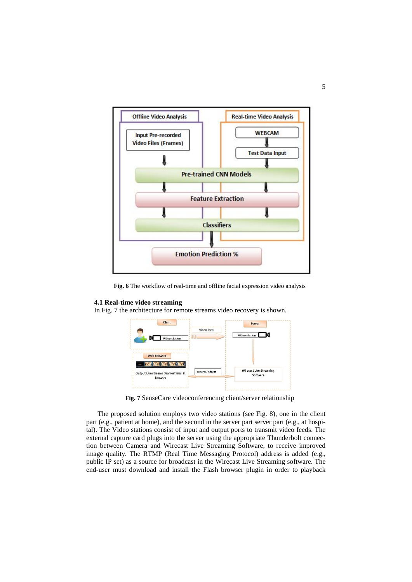

**Fig. 6** The workflow of real-time and offline facial expression video analysis

#### **4.1 Real-time video streaming**

In Fig. 7 the architecture for remote streams video recovery is shown.



**Fig. 7** SenseCare videoconferencing client/server relationship

 The proposed solution employs two video stations (see Fig. 8), one in the client part (e.g., patient at home), and the second in the server part server part (e.g., at hospital). The Video stations consist of input and output ports to transmit video feeds. The external capture card plugs into the server using the appropriate Thunderbolt connection between Camera and Wirecast Live Streaming Software, to receive improved image quality. The RTMP (Real Time Messaging Protocol) address is added (e.g., public IP set) as a source for broadcast in the Wirecast Live Streaming software. The end-user must download and install the Flash browser plugin in order to playback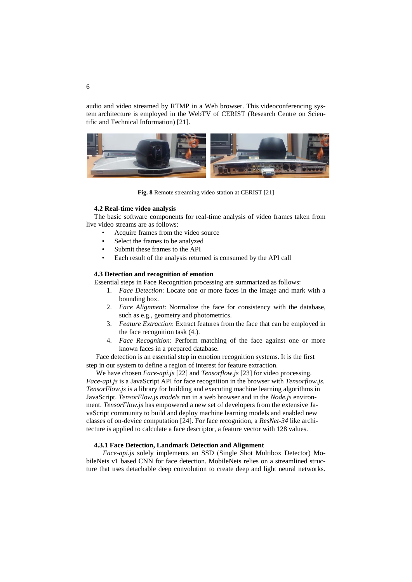audio and video streamed by RTMP in a Web browser. This videoconferencing system architecture is employed in the WebTV of CERIST (Research Centre on Scientific and Technical Information) [21].



**Fig. 8** Remote streaming video station at CERIST [21]

#### **4.2 Real-time video analysis**

The basic software components for real-time analysis of video frames taken from live video streams are as follows:

- Acquire frames from the video source
- Select the frames to be analyzed
- Submit these frames to the API
- Each result of the analysis returned is consumed by the API call

#### **4.3 Detection and recognition of emotion**

Essential steps in Face Recognition processing are summarized as follows:

- 1. *Face Detection*: Locate one or more faces in the image and mark with a bounding box.
- 2. *Face Alignment*: Normalize the face for consistency with the database, such as e.g., geometry and photometrics.
- 3. *Feature Extraction*: Extract features from the face that can be employed in the face recognition task (4.).
- 4. *Face Recognition*: Perform matching of the face against one or more known faces in a prepared database.

Face detection is an essential step in emotion recognition systems. It is the first step in our system to define a region of interest for feature extraction.

We have chosen *Face-api.js* [22] and *Tensorflow.js* [23] for video processing. *Face-api.js* is a JavaScript API for face recognition in the browser with *Tensorflow.js*. *TensorFlow.js* is a library for building and executing machine learning algorithms in JavaScript. *TensorFlow.js models* run in a web browser and in the *Node.js* environment. *TensorFlow.js* has empowered a new set of developers from the extensive JavaScript community to build and deploy machine learning models and enabled new classes of on-device computation [24]. For face recognition, a *ResNet-34* like architecture is applied to calculate a face descriptor, a feature vector with 128 values.

#### **4.3.1 Face Detection, Landmark Detection and Alignment**

 *Face-api.js* solely implements an SSD (Single Shot Multibox Detector) MobileNets v1 based CNN for face detection. MobileNets relies on a streamlined structure that uses detachable deep convolution to create deep and light neural networks.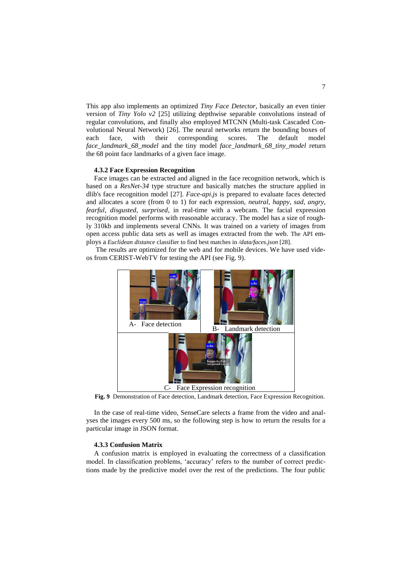This app also implements an optimized *Tiny Face Detector*, basically an even tinier version of *Tiny Yolo v2* [25] utilizing depthwise separable convolutions instead of regular convolutions, and finally also employed MTCNN (Multi-task Cascaded Convolutional Neural Network) [26]. The neural networks return the bounding boxes of each face, with their corresponding scores. The default model *face\_landmark\_68\_model* and the tiny model *face\_landmark\_68\_tiny\_model* return the 68 point face landmarks of a given face image.

#### **4.3.2 Face Expression Recognition**

Face images can be extracted and aligned in the face recognition network, which is based on a *ResNet-34* type structure and basically matches the structure applied in dlib's face recognition model [27]. *Face-api.js* is prepared to evaluate faces detected and allocates a score (from 0 to 1) for each expression, *neutral*, *happy*, *sad*, *angry*, *fearful*, *disgusted*, *surprised*, in real-time with a webcam. The facial expression recognition model performs with reasonable accuracy. The model has a size of roughly 310kb and implements several CNNs. It was trained on a variety of images from open access public data sets as well as images extracted from the web. The API employs a *Euclidean distance* classifier to find best matches in */data/faces.json* [28].

The results are optimized for the web and for mobile devices. We have used videos from CERIST-WebTV for testing the API (see Fig. 9).



**Fig. 9** Demonstration of Face detection, Landmark detection, Face Expression Recognition.

In the case of real-time video, SenseCare selects a frame from the video and analyses the images every 500 ms, so the following step is how to return the results for a particular image in JSON format.

#### **4.3.3 Confusion Matrix**

A confusion matrix is employed in evaluating the correctness of a classification model. In classification problems, 'accuracy' refers to the number of correct predictions made by the predictive model over the rest of the predictions. The four public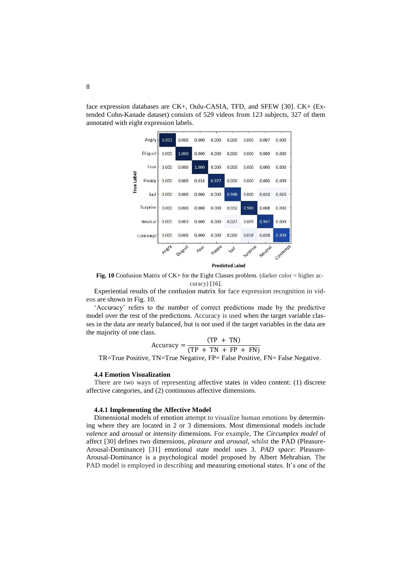face expression databases are CK+, Oulu-CASIA, TFD, and SFEW [30]. CK+ (Extended Cohn-Kanade dataset) consists of 529 videos from 123 subjects, 327 of them annotated with eight expression labels.



**Predicted Label** 

**Fig. 10** Confusion Matrix of CK+ for the Eight Classes problem. (darker color = higher accuracy) [16].

Experiential results of the confusion matrix for face expression recognition in videos are shown in Fig. 10.

'Accuracy' refers to the number of correct predictions made by the predictive model over the rest of the predictions. Accuracy is used when the target variable classes in the data are nearly balanced, but is not used if the target variables in the data are the majority of one class.  $(TPD + TNN)$ 

$$
Accuracy = \frac{(1P + 1N)}{(TP + TN + FP + FN)}
$$
  
FP-True Decitive TN-True N

TR=True Positive, TN=True Negative, FP= False Positive, FN= False Negative.

#### **4.4 Emotion Visualization**

There are two ways of representing affective states in video content: (1) discrete affective categories, and (2) continuous affective dimensions.

#### **4.4.1 Implementing the Affective Model**

Dimensional models of emotion attempt to visualize human emotions by determining where they are located in 2 or 3 dimensions. Most dimensional models include *valence* and *arousal* or *intensity* dimensions. For example, The *Circumplex model* of affect [30] defines two dimensions, *pleasure* and *arousal*, whilst the PAD (Pleasure-Arousal-Dominance) [31] emotional state model uses 3. *PAD space*: Pleasure-Arousal-Dominance is a psychological model proposed by Albert Mehrabian. The PAD model is employed in describing and measuring emotional states. It's one of the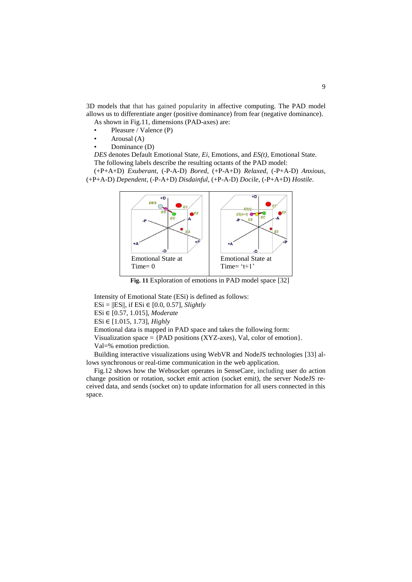3D models that that has gained popularity in affective computing. The PAD model allows us to differentiate anger (positive dominance) from fear (negative dominance). As shown in Fig.11, dimensions (PAD-axes) are:

- Pleasure / Valence (P)
- Arousal (A)
- Dominance (D)

*DES* denotes Default Emotional State, *Ei*, Emotions, and *ES(t),* Emotional State. The following labels describe the resulting octants of the PAD model:

(+P+A+D) *Exuberant*, (-P-A-D) *Bored*, (+P-A+D) *Relaxed*, (-P+A-D) *Anxious*, (+P+A-D) *Dependent*, (-P-A+D) *Disdainful*, (+P-A-D) *Docile*, (-P+A+D) *Hostile*.



**Fig. 11** Exploration of emotions in PAD model space [32]

Intensity of Emotional State (ESi) is defined as follows: ESi = ||ES||, if ESi ∈ [0.0, 0.57], *Slightly* ESi ∈ [0.57, 1.015], *Moderate* ESi ∈ [1.015, 1.73], *Highly* Emotional data is mapped in PAD space and takes the following form: Visualization space  $=$  {PAD positions (XYZ-axes), Val, color of emotion}. Val=% emotion prediction.

Building interactive visualizations using WebVR and NodeJS technologies [33] allows synchronous or real-time communication in the web application.

Fig.12 shows how the Websocket operates in SenseCare, including user do action change position or rotation, socket emit action (socket emit), the server NodeJS received data, and sends (socket on) to update information for all users connected in this space.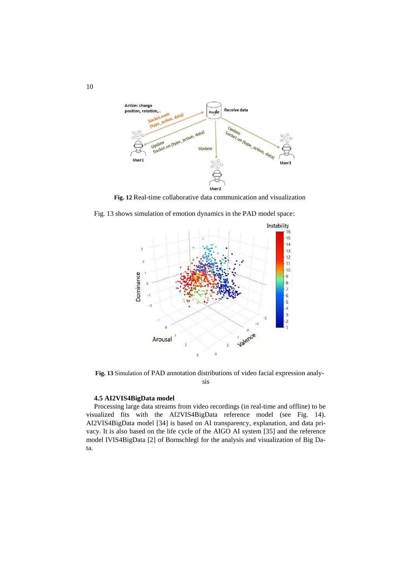

**Fig. 12** Real-time collaborative data communication and visualization

Instability 16 15  $14$  $13$  $12$ J, 11  $10$ Dominance  $\overline{9}$ 8 . 7 6 5 4  $\cdot$ <sub>3</sub>  $\overline{2}$  $\overline{c}$ Valence Arousal

Fig. 13 shows simulation of emotion dynamics in the PAD model space:

**Fig. 13** Simulation of PAD annotation distributions of video facial expression analysis

# **4.5 AI2VIS4BigData model**

Processing large data streams from video recordings (in real-time and offline) to be visualized fits with the AI2VIS4BigData reference model (see Fig. 14). AI2VIS4BigData model [34] is based on AI transparency, explanation, and data privacy. It is also based on the life cycle of the AIGO AI system [35] and the reference model IVIS4BigData [2] of Bornschlegl for the analysis and visualization of Big Data.

10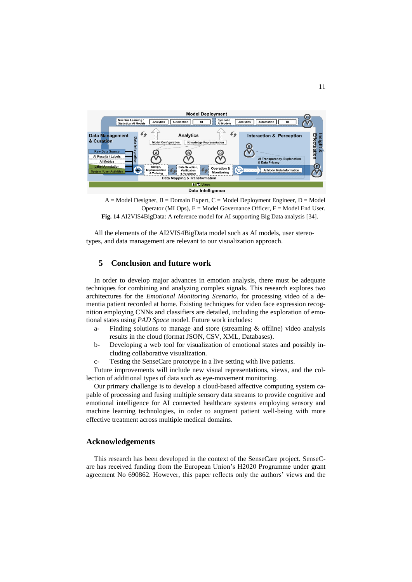

 $A = Model$  Designer,  $B = Domain$  Expert,  $C = Model$  Deployment Engineer,  $D = Model$ Operator (MLOps),  $E =$  Model Governance Officer,  $F =$  Model End User. **Fig. 14** AI2VIS4BigData: A reference model for AI supporting Big Data analysis [34].

All the elements of the AI2VIS4BigData model such as AI models, user stereotypes, and data management are relevant to our visualization approach.

# **5 Conclusion and future work**

In order to develop major advances in emotion analysis, there must be adequate techniques for combining and analyzing complex signals. This research explores two architectures for the *Emotional Monitoring Scenario*, for processing video of a dementia patient recorded at home. Existing techniques for video face expression recognition employing CNNs and classifiers are detailed, including the exploration of emotional states using *PAD Space* model. Future work includes:

- a- Finding solutions to manage and store (streaming & offline) video analysis results in the cloud (format JSON, CSV, XML, Databases).
- b- Developing a web tool for visualization of emotional states and possibly including collaborative visualization.
- c- Testing the SenseCare prototype in a live setting with live patients.

Future improvements will include new visual representations, views, and the collection of additional types of data such as eye-movement monitoring.

Our primary challenge is to develop a cloud-based affective computing system capable of processing and fusing multiple sensory data streams to provide cognitive and emotional intelligence for AI connected healthcare systems employing sensory and machine learning technologies, in order to augment patient well-being with more effective treatment across multiple medical domains.

#### **Acknowledgements**

This research has been developed in the context of the SenseCare project. SenseCare has received funding from the European Union's H2020 Programme under grant agreement No 690862. However, this paper reflects only the authors' views and the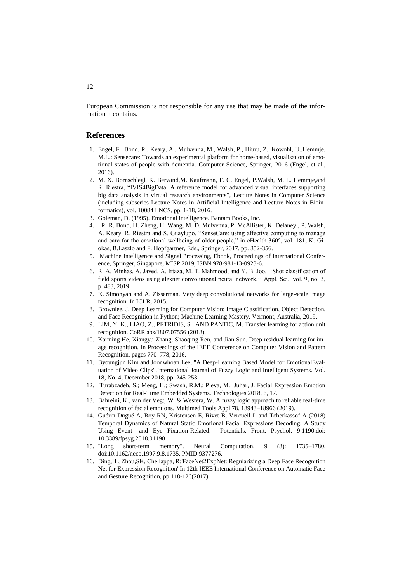European Commission is not responsible for any use that may be made of the information it contains.

## **References**

- 1. Engel, F., Bond, R., Keary, A., Mulvenna, M., Walsh, P., Hiuru, Z., Kowohl, U.,Hemmje, M.L.: Sensecare: Towards an experimental platform for home-based, visualisation of emotional states of people with dementia. Computer Science, Springer, 2016 (Engel, et al., 2016).
- 2. M. X. Bornschlegl, K. Berwind,M. Kaufmann, F. C. Engel, P.Walsh, M. L. Hemmje,and R. Riestra, "IVIS4BigData: A reference model for advanced visual interfaces supporting big data analysis in virtual research environments", Lecture Notes in Computer Science (including subseries Lecture Notes in Artificial Intelligence and Lecture Notes in Bioinformatics), vol. 10084 LNCS, pp. 1-18, 2016.
- 3. Goleman, D. (1995). Emotional intelligence. Bantam Books, Inc.
- 4. R. R. Bond, H. Zheng, H. Wang, M. D. Mulvenna, P. McAllister, K. Delaney , P. Walsh, A. Keary, R. Riestra and S. Guaylupo, "SenseCare: using affective computing to manage and care for the emotional wellbeing of older people," in eHealth 360°, vol. 181, K. Giokas, B.Laszlo and F. Hopfgartner, Eds., Springer, 2017, pp. 352-356.
- 5. Machine Intelligence and Signal Processing, Ebook, Proceedings of International Conference, Springer, Singapore, MISP 2019, ISBN 978-981-13-0923-6.
- 6. R. A. Minhas, A. Javed, A. Irtaza, M. T. Mahmood, and Y. B. Joo, ''Shot classification of field sports videos using alexnet convolutional neural network,'' Appl. Sci., vol. 9, no. 3, p. 483, 2019.
- 7. K. Simonyan and A. Zisserman. Very deep convolutional networks for large-scale image recognition. In ICLR, 2015.
- 8. Brownlee, J. Deep Learning for Computer Vision: Image Classification, Object Detection, and Face Recognition in Python; Machine Learning Mastery, Vermont, Australia, 2019.
- 9. LIM, Y. K., LIAO, Z., PETRIDIS, S., AND PANTIC, M. Transfer learning for action unit recognition. CoRR abs/1807.07556 (2018).
- 10. Kaiming He, Xiangyu Zhang, Shaoqing Ren, and Jian Sun. Deep residual learning for image recognition. In Proceedings of the IEEE Conference on Computer Vision and Pattern Recognition, pages 770–778, 2016.
- 11. Byoungjun Kim and Joonwhoan Lee, "A Deep-Learning Based Model for EmotionalEvaluation of Video Clips",International Journal of Fuzzy Logic and Intelligent Systems. Vol. 18, No. 4, December 2018, pp. 245-253.
- 12. Turabzadeh, S.; Meng, H.; Swash, R.M.; Pleva, M.; Juhar, J. Facial Expression Emotion Detection for Real-Time Embedded Systems. Technologies 2018, 6, 17.
- 13. Bahreini, K., van der Vegt, W. & Westera, W. A fuzzy logic approach to reliable real-time recognition of facial emotions. Multimed Tools Appl 78, 18943–18966 (2019).
- 14. Guérin-Dugué A, Roy RN, Kristensen E, Rivet B, Vercueil L and Tcherkassof A (2018) Temporal Dynamics of Natural Static Emotional Facial Expressions Decoding: A Study Using Event- and Eye Fixation-Related. Potentials. Front. Psychol. 9:1190.doi: 10.3389/fpsyg.2018.01190
- 15. "Long short-term memory". Neural Computation. 9 (8): 1735–1780. doi:10.1162/neco.1997.9.8.1735. PMID 9377276.
- 16. Ding,H , Zhou,SK, Chellappa, R:'FaceNet2ExpNet: Regularizing a Deep Face Recognition Net for Expression Recognition' In 12th IEEE International Conference on Automatic Face and Gesture Recognition, pp.118-126(2017)